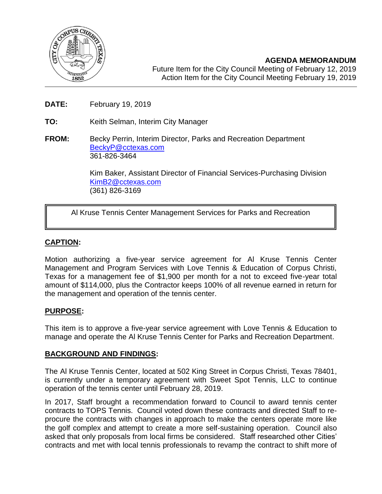

**AGENDA MEMORANDUM** Future Item for the City Council Meeting of February 12, 2019 Action Item for the City Council Meeting February 19, 2019

- **DATE:** February 19, 2019
- **TO:** Keith Selman, Interim City Manager
- **FROM:** Becky Perrin, Interim Director, Parks and Recreation Department [BeckyP@cctexas.com](mailto:BeckyP@cctexas.com) 361-826-3464

Kim Baker, Assistant Director of Financial Services-Purchasing Division [KimB2@cctexas.com](mailto:KimB2@cctexas.com) (361) 826-3169

# Al Kruse Tennis Center Management Services for Parks and Recreation

### **CAPTION:**

Ī

Motion authorizing a five-year service agreement for Al Kruse Tennis Center Management and Program Services with Love Tennis & Education of Corpus Christi, Texas for a management fee of \$1,900 per month for a not to exceed five-year total amount of \$114,000, plus the Contractor keeps 100% of all revenue earned in return for the management and operation of the tennis center.

### **PURPOSE:**

This item is to approve a five-year service agreement with Love Tennis & Education to manage and operate the Al Kruse Tennis Center for Parks and Recreation Department.

#### **BACKGROUND AND FINDINGS:**

The Al Kruse Tennis Center, located at 502 King Street in Corpus Christi, Texas 78401, is currently under a temporary agreement with Sweet Spot Tennis, LLC to continue operation of the tennis center until February 28, 2019.

In 2017, Staff brought a recommendation forward to Council to award tennis center contracts to TOPS Tennis. Council voted down these contracts and directed Staff to reprocure the contracts with changes in approach to make the centers operate more like the golf complex and attempt to create a more self-sustaining operation. Council also asked that only proposals from local firms be considered. Staff researched other Cities' contracts and met with local tennis professionals to revamp the contract to shift more of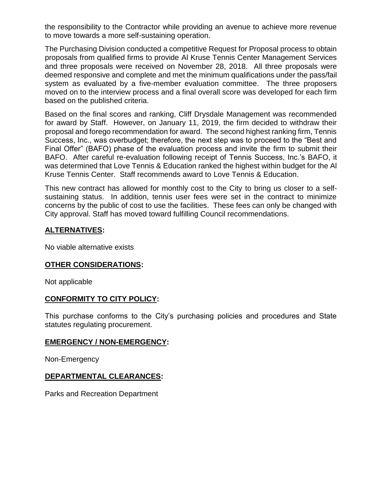the responsibility to the Contractor while providing an avenue to achieve more revenue to move towards a more self-sustaining operation.

The Purchasing Division conducted a competitive Request for Proposal process to obtain proposals from qualified firms to provide Al Kruse Tennis Center Management Services and three proposals were received on November 28, 2018. All three proposals were deemed responsive and complete and met the minimum qualifications under the pass/fail system as evaluated by a five-member evaluation committee. The three proposers moved on to the interview process and a final overall score was developed for each firm based on the published criteria.

Based on the final scores and ranking, Cliff Drysdale Management was recommended for award by Staff. However, on January 11, 2019, the firm decided to withdraw their proposal and forego recommendation for award. The second highest ranking firm, Tennis Success, Inc., was overbudget; therefore, the next step was to proceed to the "Best and Final Offer" (BAFO) phase of the evaluation process and invite the firm to submit their BAFO. After careful re-evaluation following receipt of Tennis Success, Inc.'s BAFO, it was determined that Love Tennis & Education ranked the highest within budget for the Al Kruse Tennis Center. Staff recommends award to Love Tennis & Education.

This new contract has allowed for monthly cost to the City to bring us closer to a selfsustaining status. In addition, tennis user fees were set in the contract to minimize concerns by the public of cost to use the facilities. These fees can only be changed with City approval. Staff has moved toward fulfilling Council recommendations.

## **ALTERNATIVES:**

No viable alternative exists

### **OTHER CONSIDERATIONS:**

Not applicable

### **CONFORMITY TO CITY POLICY:**

This purchase conforms to the City's purchasing policies and procedures and State statutes regulating procurement.

#### **EMERGENCY / NON-EMERGENCY:**

Non-Emergency

### **DEPARTMENTAL CLEARANCES:**

Parks and Recreation Department